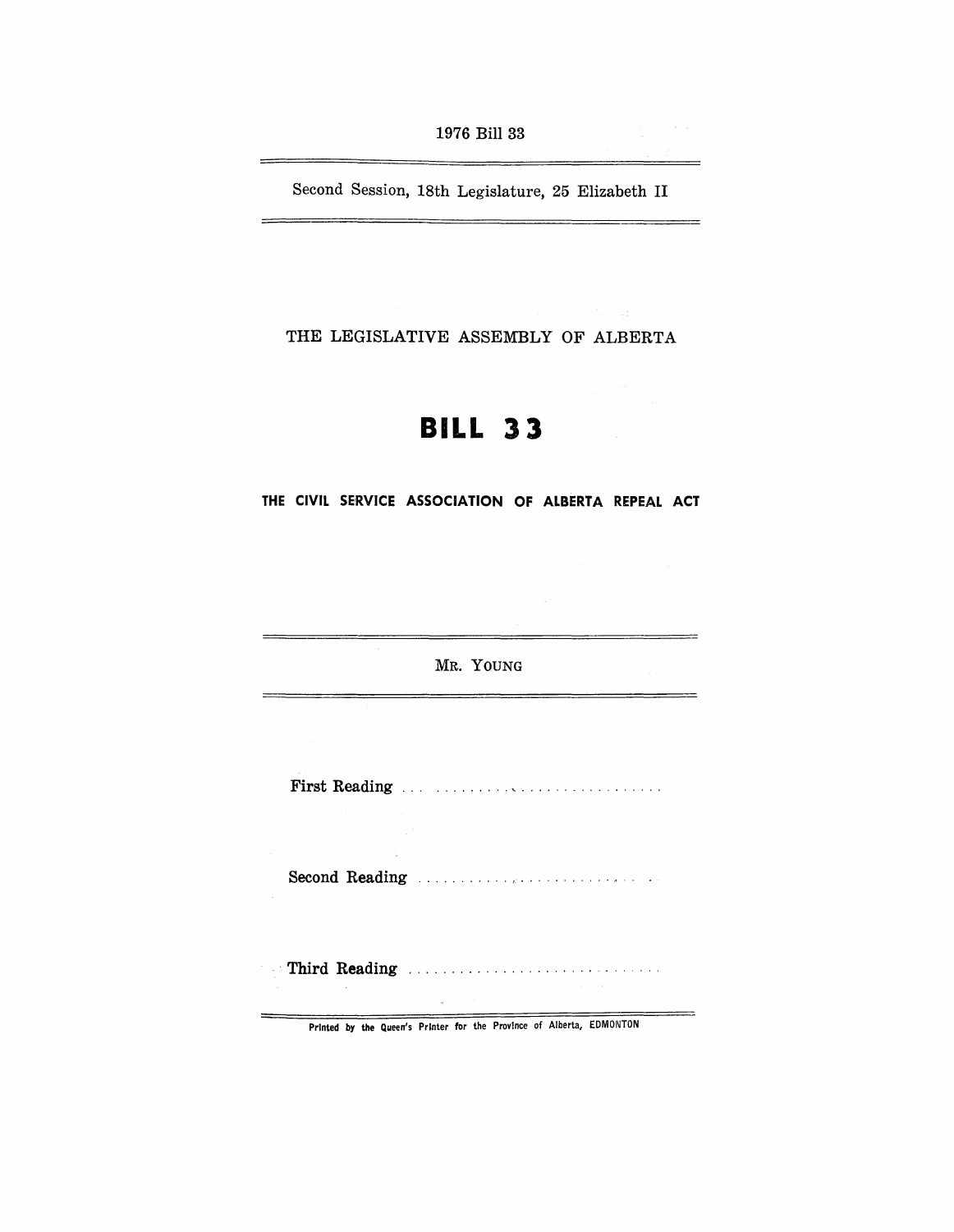Second Session, 18th Legislature, 25 Elizabeth II

THE LEGISLATIVE ASSEMBLY OF ALBERTA

# **BILL 33**

THE CIVIL SERVICE ASSOCIATION OF ALBERTA REPEAL ACT

MR. YOUNG

 $=$ 

First Reading . .. . ....... : .................. .

Second Reading ........... ,.............. .

. Third Reading

Printed by the Queen's PrInter for the Province of Alberta, EDMONTON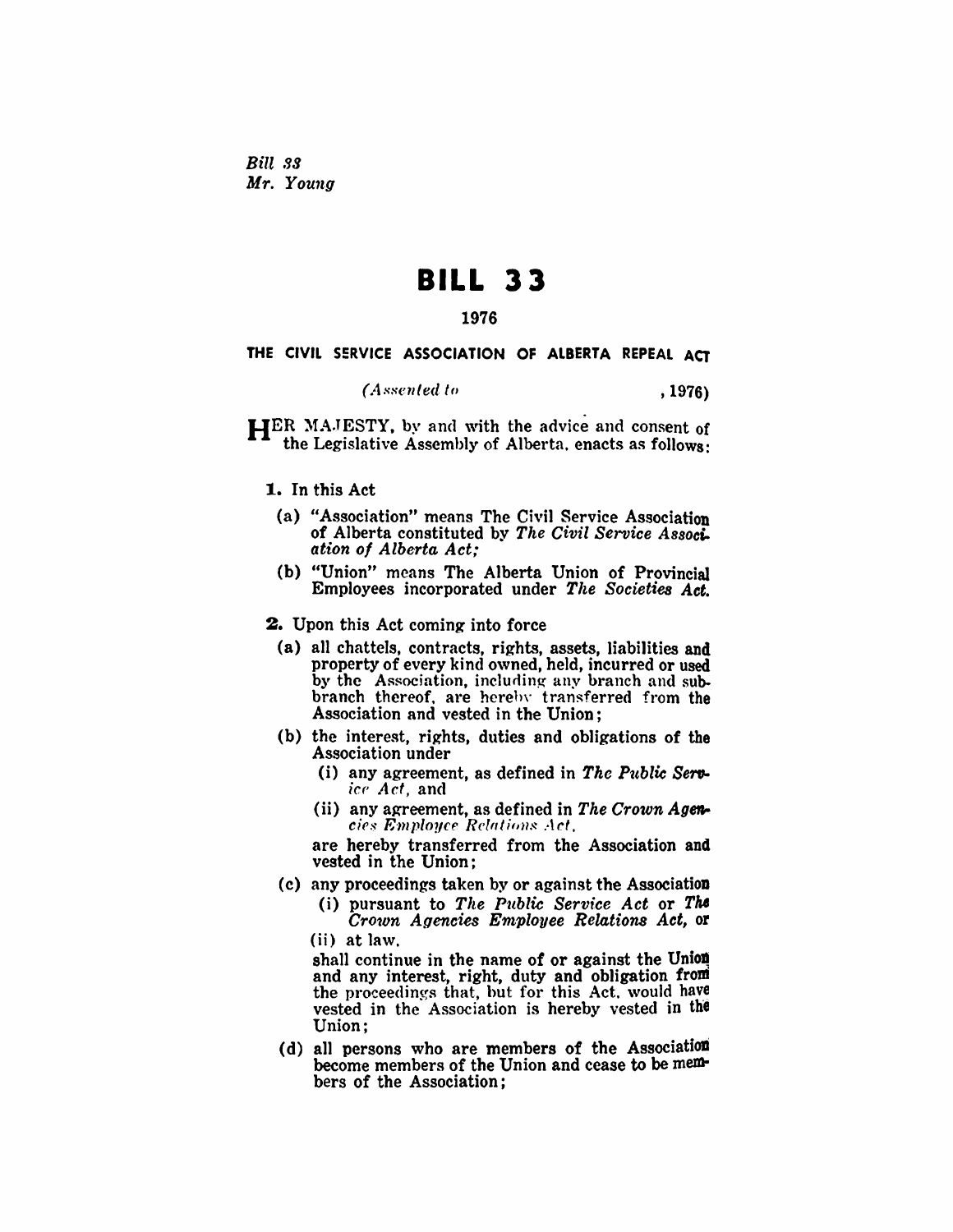Bill 33 *Mr. Young* 

# **BILL 33**

## 1976

### THE CIVIL SERVICE ASSOCIATION OF ALBERTA REPEAL ACT

 $(A$  *ssented to*  $, 1976)$ 

HER MAJESTY, by and with the advice and consent of the Legislative Assembly of Alberta. enacts as follows:

### 1. In this Act

- (a) "Association" means The Civil Service Association of Alberta constituted by *The Civil Service Associ*. *ation of* Alberta *Act,'*
- (b) "Union" means The Alberta Union of Provincial Employees incorporated under *The Societies Act.*
- 2. Upon this Act coming into force
	- (a) all chattels, contracts, rights, assets, liabiJities and property of every kind owned, held, incurred or used by the Association, including any branch and subbranch thereof, are hereby transferred from the Association and vested in the Union;
	- (b) the interest, rights, duties and obligations of the Association under
		- (i) any agreement, as defined in The Public Serv*icr' Act,* and
		- (ii) any agreement, as defined in *The Crown Ageta- cies Employee Relations Act.*

are hereby transferred from the Association and vested in the Union;

- (c) any proceedings taken by or against the AssociatioD
	- (i) pursuant to *Tile Public Service Act* or TM *Cro1on Agencies Employee Relations Act,* or (ii) at law.

shall continue in the name of or against the Union and any interest, right, duty and obligation from the proceedings that, but for this Act. would have vested in the Association is hereby vested in the Union;

(d) all persons who are members of the Association become members of the Union and cease to be members of the Association;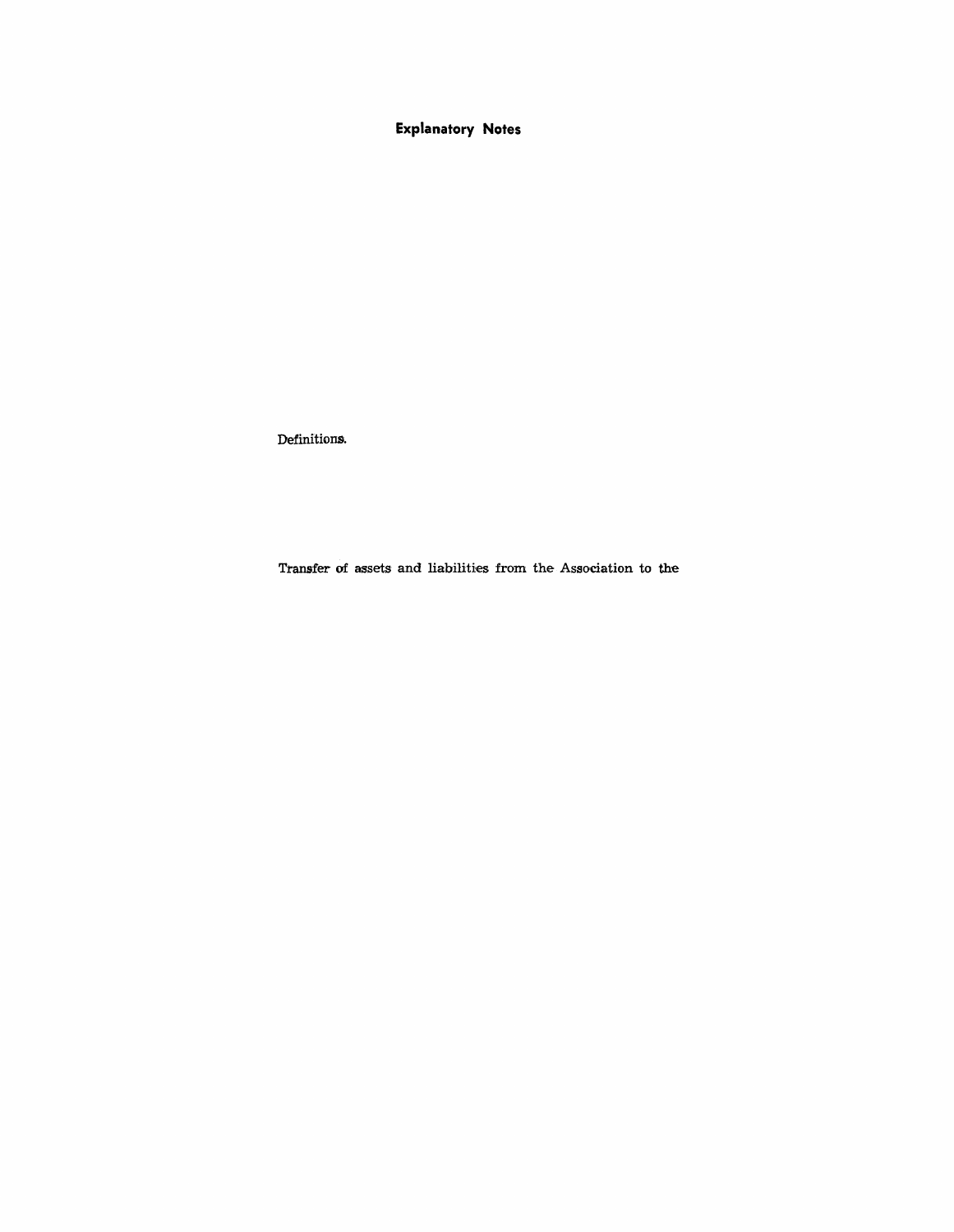**Explanatory Notes** 

Definitions.

Transfer of assets and liabilities from the Association to the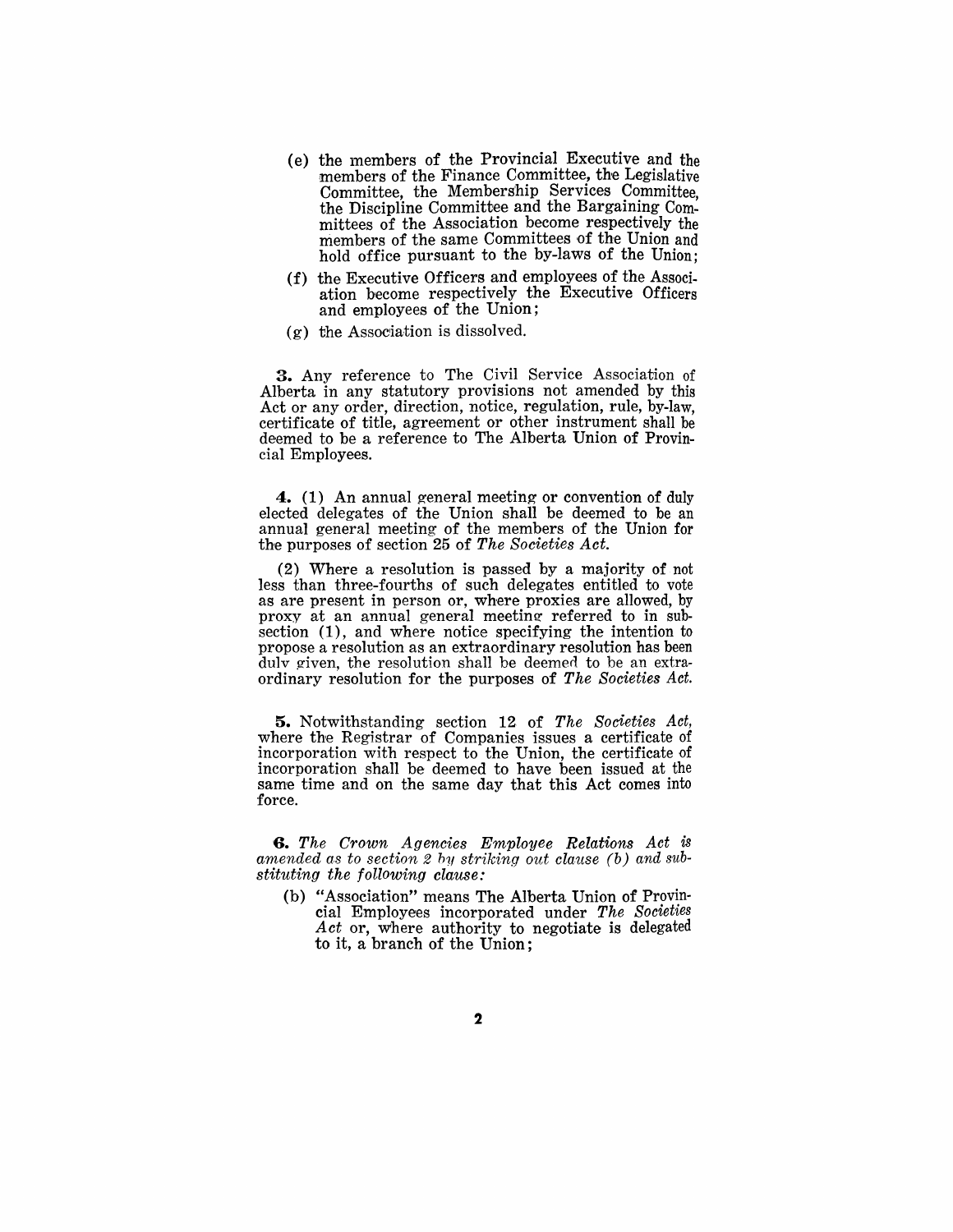- (e) the lnembers of the Provincial Executive and the members of the Finance Committee, the Legislative Committee, the Membership Services Committee, the Discipline Committee and the Bargaining Committees of the Association become respectively the members of the same Committees of the Union and hold office pursuant to the by-laws of the Union;
- (f) the Executive Officers and employees of the Association become respectively the Executive Officers and employees of the Union;
- $(g)$  the Association is dissolved.

3. Any reference to The Civil Service Association of Alberta in any statutory provisions not amended by this Act or any order, direction, notice, regulation, rule, by-law, certificate of title, agreement or other instrument shall be deemed to be a reference to The Alberta Union of Provincial Employees.

**4.** (1) An annual general meeting or convention of duly elected delegates of the Union shall be deemed to be an annual general meeting of the members of the Union for the purposes of section 25 of *The Societies Act.* 

(2) Where a resolution is passed by a majority of not less than three-fourths of such delegates entitled to vote as are present in person or, where proxies are allowed, by proxy at an annual general meeting referred to in subsection (1), and where notice specifying the intention to propose a resolution as an extraordinary resolution has been  $\overline{d}$ ulv given, the resolution shall be deemed to be an extraordinary resolution for the purposes of *The Societies Act.* 

**5.** Notwithstanding section 12, of *The Societies Act,*  where the Registrar of Companies issues a certificate of incorporation with respect to the Union, the certificate of incorporation shall be deemed to have been issued at the same time and on the same day that this Act comes into force.

*6. The Crown Agencies Employee Relations Act* is amended as to section 2 by striking out clause (b) and sub*stituting the following clause:* 

(b) "Association" means The Alberta Union of Provincial Employees incorporated under *The Societies Act* or, where authority to negotiate is delegated to it, a branch of the Union;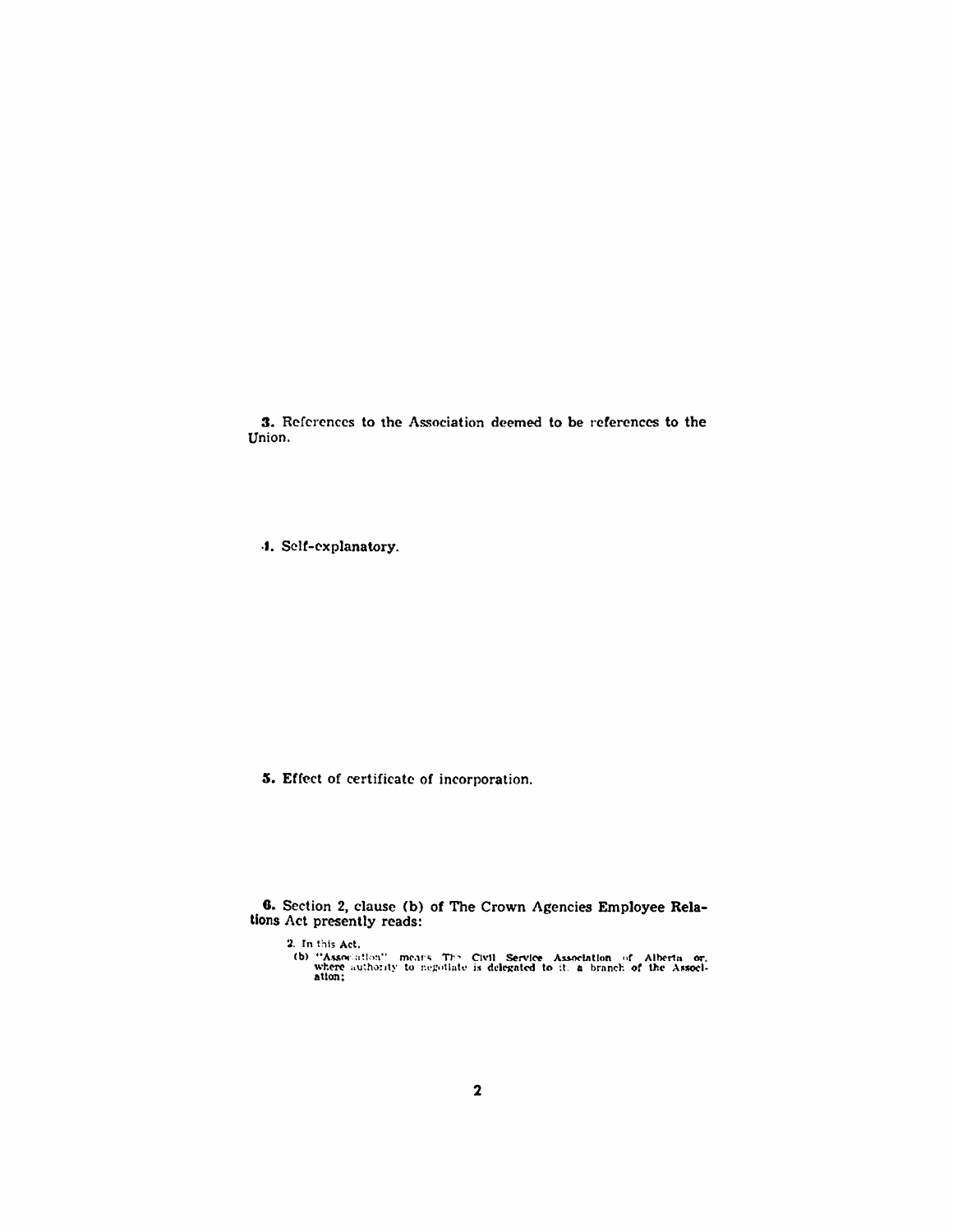3. References to the Association deemed to be references to the Union.

·1. Sell-explanatory.

5. Effect of certificate of incorporation.

G. Section 2, clause (b) of The Crown Agencies Employee Relations Act presently reads:

2. In this Act,<br>
(b) "Association" means "The Civil" Service Association of Alberta or,<br>
where authority to negotiate is delegated to it. a branch of the Associ-<br>
ation;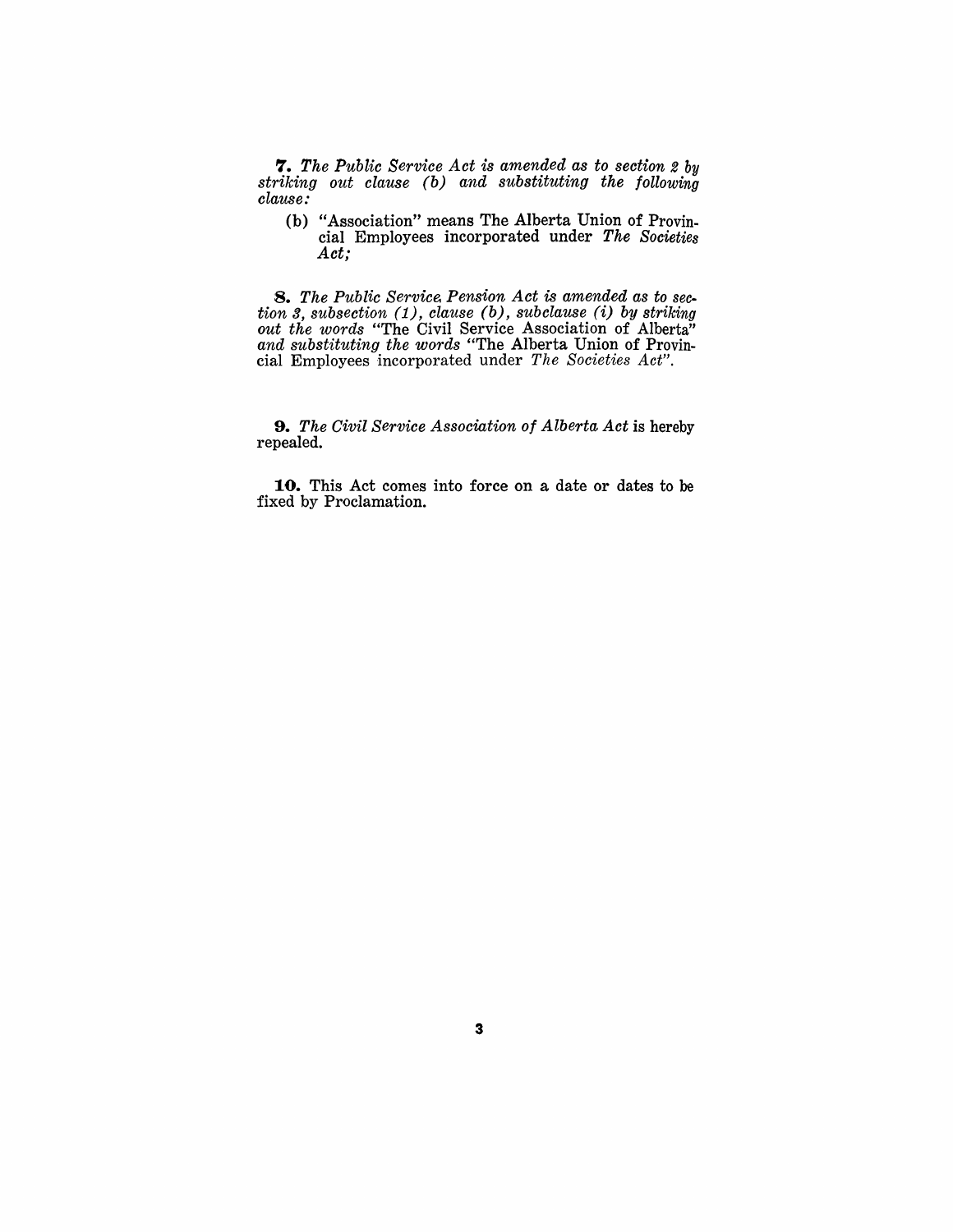*'1. The Public Service Act is amended as to section* 2 *by striking out clause (b) and substituting the following clause:* 

(b) "Association" means The Alberta Union of Provincial Employees incorporated under *The Societies Act;* 

*8. The Public Service. Pension Act is amended as to section* 3, *subsection* (1), *clause (b), subclause* (i) *by striking out the words* "The Civil Service Association of Alberta" *and substituting the words* "The Alberta Union of Provincial Employees incorporated under *The Societies Act",* 

*9. The Civil Service Association of Alberta Act* is hereby repealed.

**10.** This Act comes into force on a date or dates to be fixed by Proclamation.